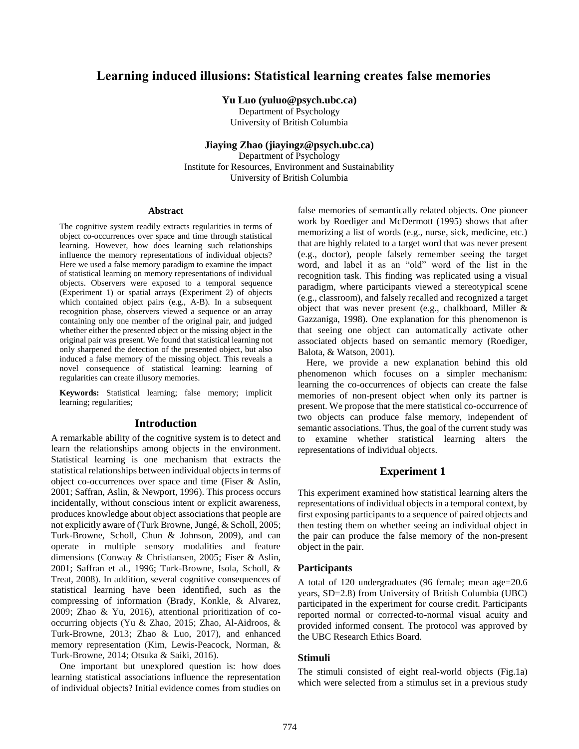# **Learning induced illusions: Statistical learning creates false memories**

## **Yu Luo (yuluo@psych.ubc.ca)**

Department of Psychology University of British Columbia

## **Jiaying Zhao (jiayingz@psych.ubc.ca)**

Department of Psychology Institute for Resources, Environment and Sustainability University of British Columbia

#### **Abstract**

The cognitive system readily extracts regularities in terms of object co-occurrences over space and time through statistical learning. However, how does learning such relationships influence the memory representations of individual objects? Here we used a false memory paradigm to examine the impact of statistical learning on memory representations of individual objects. Observers were exposed to a temporal sequence (Experiment 1) or spatial arrays (Experiment 2) of objects which contained object pairs (e.g., A-B). In a subsequent recognition phase, observers viewed a sequence or an array containing only one member of the original pair, and judged whether either the presented object or the missing object in the original pair was present. We found that statistical learning not only sharpened the detection of the presented object, but also induced a false memory of the missing object. This reveals a novel consequence of statistical learning: learning of regularities can create illusory memories.

**Keywords:** Statistical learning; false memory; implicit learning; regularities;

## **Introduction**

A remarkable ability of the cognitive system is to detect and learn the relationships among objects in the environment. Statistical learning is one mechanism that extracts the statistical relationships between individual objects in terms of object co-occurrences over space and time (Fiser & Aslin, 2001; Saffran, Aslin, & Newport, 1996). This process occurs incidentally, without conscious intent or explicit awareness, produces knowledge about object associations that people are not explicitly aware of (Turk Browne, Jungé, & Scholl, 2005; Turk-Browne, Scholl, Chun & Johnson, 2009), and can operate in multiple sensory modalities and feature dimensions (Conway & Christiansen, 2005; Fiser & Aslin, 2001; Saffran et al., 1996; Turk-Browne, Isola, Scholl, & Treat, 2008). In addition, several cognitive consequences of statistical learning have been identified, such as the compressing of information (Brady, Konkle, & Alvarez, 2009; Zhao & Yu, 2016), attentional prioritization of cooccurring objects (Yu & Zhao, 2015; Zhao, Al-Aidroos, & Turk-Browne, 2013; Zhao & Luo, 2017), and enhanced memory representation (Kim, Lewis-Peacock, Norman, & Turk-Browne, 2014; Otsuka & Saiki, 2016).

One important but unexplored question is: how does learning statistical associations influence the representation of individual objects? Initial evidence comes from studies on false memories of semantically related objects. One pioneer work by Roediger and McDermott (1995) shows that after memorizing a list of words (e.g., nurse, sick, medicine, etc.) that are highly related to a target word that was never present (e.g., doctor), people falsely remember seeing the target word, and label it as an "old" word of the list in the recognition task. This finding was replicated using a visual paradigm, where participants viewed a stereotypical scene (e.g., classroom), and falsely recalled and recognized a target object that was never present (e.g., chalkboard, Miller & Gazzaniga, 1998). One explanation for this phenomenon is that seeing one object can automatically activate other associated objects based on semantic memory (Roediger, Balota, & Watson, 2001).

Here, we provide a new explanation behind this old phenomenon which focuses on a simpler mechanism: learning the co-occurrences of objects can create the false memories of non-present object when only its partner is present. We propose that the mere statistical co-occurrence of two objects can produce false memory, independent of semantic associations. Thus, the goal of the current study was to examine whether statistical learning alters the representations of individual objects.

## **Experiment 1**

This experiment examined how statistical learning alters the representations of individual objects in a temporal context, by first exposing participants to a sequence of paired objects and then testing them on whether seeing an individual object in the pair can produce the false memory of the non-present object in the pair.

## **Participants**

A total of 120 undergraduates (96 female; mean age=20.6 years, SD=2.8) from University of British Columbia (UBC) participated in the experiment for course credit. Participants reported normal or corrected-to-normal visual acuity and provided informed consent. The protocol was approved by the UBC Research Ethics Board.

## **Stimuli**

The stimuli consisted of eight real-world objects (Fig.1a) which were selected from a stimulus set in a previous study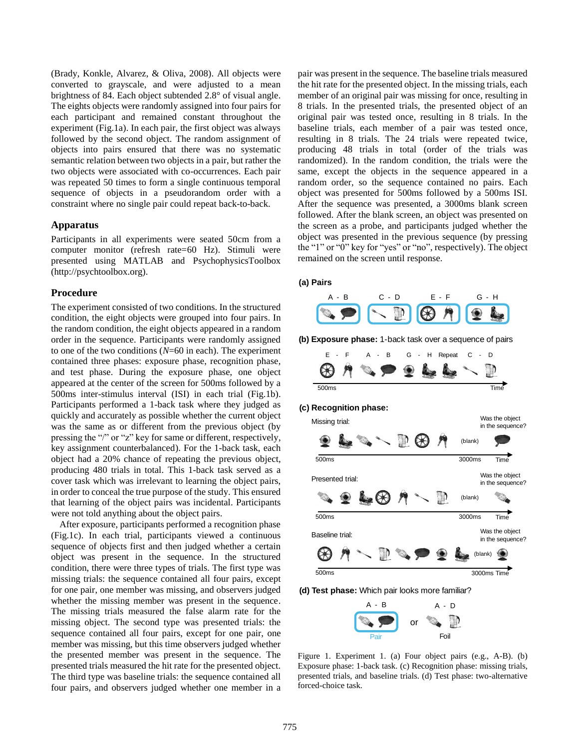(Brady, Konkle, Alvarez, & Oliva, 2008). All objects were converted to grayscale, and were adjusted to a mean brightness of 84. Each object subtended 2.8° of visual angle. The eights objects were randomly assigned into four pairs for each participant and remained constant throughout the experiment (Fig.1a). In each pair, the first object was always followed by the second object. The random assignment of objects into pairs ensured that there was no systematic semantic relation between two objects in a pair, but rather the two objects were associated with co-occurrences. Each pair was repeated 50 times to form a single continuous temporal sequence of objects in a pseudorandom order with a constraint where no single pair could repeat back-to-back.

### **Apparatus**

Participants in all experiments were seated 50cm from a computer monitor (refresh rate=60 Hz). Stimuli were presented using MATLAB and PsychophysicsToolbox (http://psychtoolbox.org).

## **Procedure**

The experiment consisted of two conditions. In the structured condition, the eight objects were grouped into four pairs. In the random condition, the eight objects appeared in a random order in the sequence. Participants were randomly assigned to one of the two conditions (*N*=60 in each). The experiment contained three phases: exposure phase, recognition phase, and test phase. During the exposure phase, one object appeared at the center of the screen for 500ms followed by a 500ms inter-stimulus interval (ISI) in each trial (Fig.1b). Participants performed a 1-back task where they judged as quickly and accurately as possible whether the current object was the same as or different from the previous object (by pressing the "/" or "z" key for same or different, respectively, key assignment counterbalanced). For the 1-back task, each object had a 20% chance of repeating the previous object, producing 480 trials in total. This 1-back task served as a cover task which was irrelevant to learning the object pairs, in order to conceal the true purpose of the study. This ensured that learning of the object pairs was incidental. Participants were not told anything about the object pairs.

After exposure, participants performed a recognition phase (Fig.1c). In each trial, participants viewed a continuous sequence of objects first and then judged whether a certain object was present in the sequence. In the structured condition, there were three types of trials. The first type was missing trials: the sequence contained all four pairs, except for one pair, one member was missing, and observers judged whether the missing member was present in the sequence. The missing trials measured the false alarm rate for the missing object. The second type was presented trials: the sequence contained all four pairs, except for one pair, one member was missing, but this time observers judged whether the presented member was present in the sequence. The presented trials measured the hit rate for the presented object. The third type was baseline trials: the sequence contained all four pairs, and observers judged whether one member in a

pair was present in the sequence. The baseline trials measured the hit rate for the presented object. In the missing trials, each member of an original pair was missing for once, resulting in 8 trials. In the presented trials, the presented object of an original pair was tested once, resulting in 8 trials. In the baseline trials, each member of a pair was tested once, resulting in 8 trials. The 24 trials were repeated twice, producing 48 trials in total (order of the trials was randomized). In the random condition, the trials were the same, except the objects in the sequence appeared in a random order, so the sequence contained no pairs. Each object was presented for 500ms followed by a 500ms ISI. After the sequence was presented, a 3000ms blank screen followed. After the blank screen, an object was presented on the screen as a probe, and participants judged whether the object was presented in the previous sequence (by pressing the "1" or "0" key for "yes" or "no", respectively). The object remained on the screen until response.

### (a) Pairs



**(b) Exposure phase:** 1-back task over a sequence of pairs



**(d) Test phase:** Which pair looks more familiar?



Figure 1. Experiment 1. (a) Four object pairs (e.g., A-B). (b) Exposure phase: 1-back task. (c) Recognition phase: missing trials, presented trials, and baseline trials. (d) Test phase: two-alternative forced-choice task.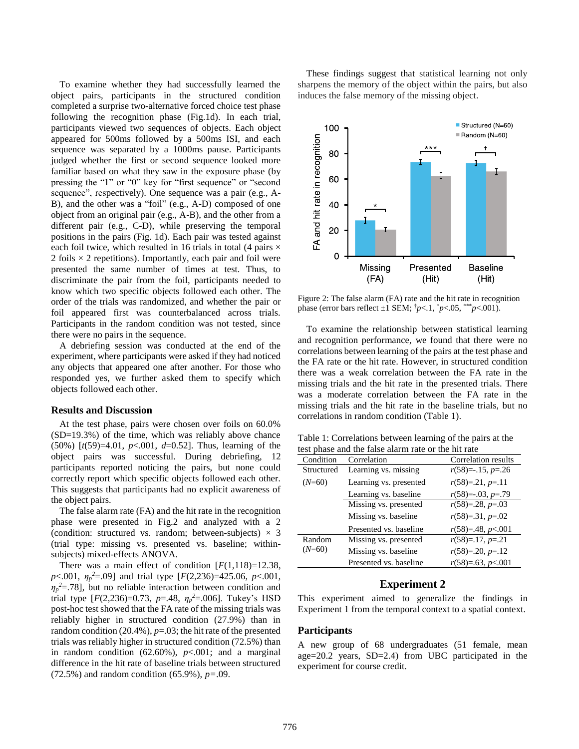To examine whether they had successfully learned the object pairs, participants in the structured condition completed a surprise two-alternative forced choice test phase following the recognition phase (Fig.1d). In each trial, participants viewed two sequences of objects. Each object appeared for 500ms followed by a 500ms ISI, and each sequence was separated by a 1000ms pause. Participants judged whether the first or second sequence looked more familiar based on what they saw in the exposure phase (by pressing the "1" or "0" key for "first sequence" or "second sequence", respectively). One sequence was a pair (e.g., A-B), and the other was a "foil" (e.g., A-D) composed of one object from an original pair (e.g., A-B), and the other from a different pair (e.g., C-D), while preserving the temporal positions in the pairs (Fig. 1d). Each pair was tested against each foil twice, which resulted in 16 trials in total (4 pairs  $\times$ 2 foils  $\times$  2 repetitions). Importantly, each pair and foil were presented the same number of times at test. Thus, to discriminate the pair from the foil, participants needed to know which two specific objects followed each other. The order of the trials was randomized, and whether the pair or foil appeared first was counterbalanced across trials. Participants in the random condition was not tested, since there were no pairs in the sequence.

A debriefing session was conducted at the end of the experiment, where participants were asked if they had noticed any objects that appeared one after another. For those who responded yes, we further asked them to specify which objects followed each other.

#### **Results and Discussion**

At the test phase, pairs were chosen over foils on 60.0% (SD=19.3%) of the time, which was reliably above chance (50%) [*t*(59)=4.01, *p*<.001, *d*=0.52]. Thus, learning of the object pairs was successful. During debriefing, 12 participants reported noticing the pairs, but none could correctly report which specific objects followed each other. This suggests that participants had no explicit awareness of the object pairs.

The false alarm rate (FA) and the hit rate in the recognition phase were presented in Fig.2 and analyzed with a 2 (condition: structured vs. random; between-subjects)  $\times$  3 (trial type: missing vs. presented vs. baseline; withinsubjects) mixed-effects ANOVA.

There was a main effect of condition  $[F(1,118)=12.38]$ , *p*<.001, *η<sup>p</sup> <sup>2</sup>*=.09] and trial type [*F*(2,236)=425.06, *p*<.001,  $\eta_p^2$ =.78], but no reliable interaction between condition and trial type  $[F(2,236)=0.73, p=.48, \eta_p^2=.006]$ . Tukey's HSD post-hoc test showed that the FA rate of the missing trials was reliably higher in structured condition (27.9%) than in random condition (20.4%), *p*=.03; the hit rate of the presented trials was reliably higher in structured condition (72.5%) than in random condition  $(62.60\%)$ ,  $p<.001$ ; and a marginal difference in the hit rate of baseline trials between structured (72.5%) and random condition (65.9%), *p=*.09.

These findings suggest that statistical learning not only sharpens the memory of the object within the pairs, but also induces the false memory of the missing object.



Figure 2: The false alarm (FA) rate and the hit rate in recognition phase (error bars reflect  $\pm 1$  SEM;  $\frac{t}{p}$  <.1,  $\frac{t}{p}$  <.05,  $\frac{***}{p}$  <.001).

To examine the relationship between statistical learning and recognition performance, we found that there were no correlations between learning of the pairs at the test phase and the FA rate or the hit rate. However, in structured condition there was a weak correlation between the FA rate in the missing trials and the hit rate in the presented trials. There was a moderate correlation between the FA rate in the missing trials and the hit rate in the baseline trials, but no correlations in random condition (Table 1).

| Table 1: Correlations between learning of the pairs at the |
|------------------------------------------------------------|
| test phase and the false alarm rate or the hit rate        |

| tost phase and the raise and in rate or the lift rate |                        |                              |  |
|-------------------------------------------------------|------------------------|------------------------------|--|
| Condition                                             | Correlation            | Correlation results          |  |
| Structured                                            | Learning vs. missing   | $r(58) = -15, p = 26$        |  |
| $(N=60)$                                              | Learning vs. presented | $r(58)=21, p=.11$            |  |
|                                                       | Learning vs. baseline  | $r(58) = -0.03$ , $p = 0.79$ |  |
|                                                       | Missing vs. presented  | $r(58)=0.28, p=.03$          |  |
|                                                       | Missing vs. baseline   | $r(58)=31, p=.02$            |  |
|                                                       | Presented vs. baseline | $r(58)=.48, p<.001$          |  |
| Random<br>$(N=60)$                                    | Missing vs. presented  | $r(58)=17, p=.21$            |  |
|                                                       | Missing vs. baseline   | $r(58)=20, p=.12$            |  |
|                                                       | Presented vs. baseline | $r(58)=.63, p<.001$          |  |

## **Experiment 2**

This experiment aimed to generalize the findings in Experiment 1 from the temporal context to a spatial context.

#### **Participants**

A new group of 68 undergraduates (51 female, mean age=20.2 years, SD=2.4) from UBC participated in the experiment for course credit.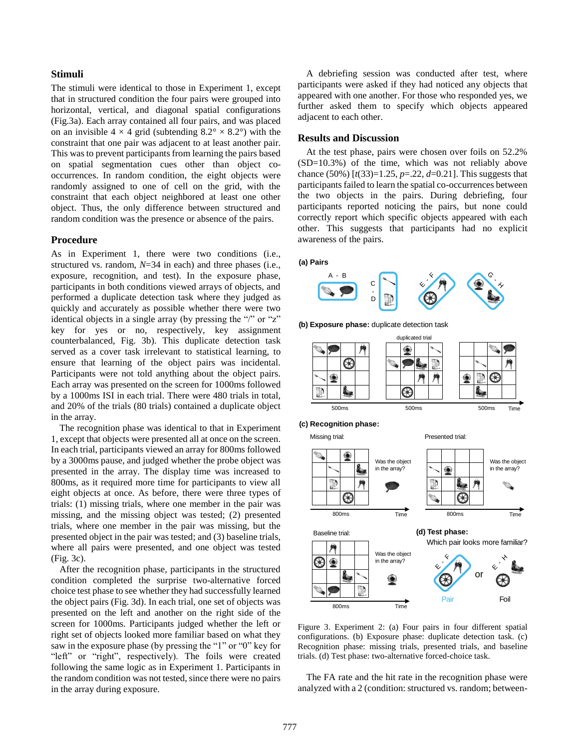#### **Stimuli**

The stimuli were identical to those in Experiment 1, except that in structured condition the four pairs were grouped into horizontal, vertical, and diagonal spatial configurations (Fig.3a). Each array contained all four pairs, and was placed on an invisible  $4 \times 4$  grid (subtending  $8.2^{\circ} \times 8.2^{\circ}$ ) with the constraint that one pair was adjacent to at least another pair. This was to prevent participants from learning the pairs based on spatial segmentation cues other than object cooccurrences. In random condition, the eight objects were randomly assigned to one of cell on the grid, with the constraint that each object neighbored at least one other object. Thus, the only difference between structured and random condition was the presence or absence of the pairs.

## **Procedure**

As in Experiment 1, there were two conditions (i.e., structured vs. random, *N*=34 in each) and three phases (i.e., exposure, recognition, and test). In the exposure phase, participants in both conditions viewed arrays of objects, and performed a duplicate detection task where they judged as quickly and accurately as possible whether there were two identical objects in a single array (by pressing the "/" or "z" key for yes or no, respectively, key assignment counterbalanced, Fig. 3b). This duplicate detection task served as a cover task irrelevant to statistical learning, to ensure that learning of the object pairs was incidental. Participants were not told anything about the object pairs. Each array was presented on the screen for 1000ms followed by a 1000ms ISI in each trial. There were 480 trials in total, and 20% of the trials (80 trials) contained a duplicate object in the array.

The recognition phase was identical to that in Experiment 1, except that objects were presented all at once on the screen. In each trial, participants viewed an array for 800ms followed by a 3000ms pause, and judged whether the probe object was presented in the array. The display time was increased to 800ms, as it required more time for participants to view all eight objects at once. As before, there were three types of trials: (1) missing trials, where one member in the pair was missing, and the missing object was tested; (2) presented trials, where one member in the pair was missing, but the presented object in the pair was tested; and (3) baseline trials, where all pairs were presented, and one object was tested (Fig. 3c).

After the recognition phase, participants in the structured condition completed the surprise two-alternative forced choice test phase to see whether they had successfully learned the object pairs (Fig. 3d). In each trial, one set of objects was presented on the left and another on the right side of the screen for 1000ms. Participants judged whether the left or right set of objects looked more familiar based on what they saw in the exposure phase (by pressing the "1" or "0" key for "left" or "right", respectively). The foils were created following the same logic as in Experiment 1. Participants in the random condition was not tested, since there were no pairs in the array during exposure.

A debriefing session was conducted after test, where participants were asked if they had noticed any objects that appeared with one another. For those who responded yes, we further asked them to specify which objects appeared adjacent to each other.

#### **Results and Discussion**

At the test phase, pairs were chosen over foils on 52.2% (SD=10.3%) of the time, which was not reliably above chance (50%) [*t*(33)=1.25, *p*=.22, *d*=0.21]. This suggests that participants failed to learn the spatial co-occurrences between the two objects in the pairs. During debriefing, four participants reported noticing the pairs, but none could correctly report which specific objects appeared with each other. This suggests that participants had no explicit awareness of the pairs.

#### **(a) Pairs**



**(b) Exposure phase:** duplicate detection task



Missing trial:

Presented trial:



Figure 3. Experiment 2: (a) Four pairs in four different spatial configurations. (b) Exposure phase: duplicate detection task. (c) Recognition phase: missing trials, presented trials, and baseline trials. (d) Test phase: two-alternative forced-choice task.

The FA rate and the hit rate in the recognition phase were analyzed with a 2 (condition: structured vs. random; between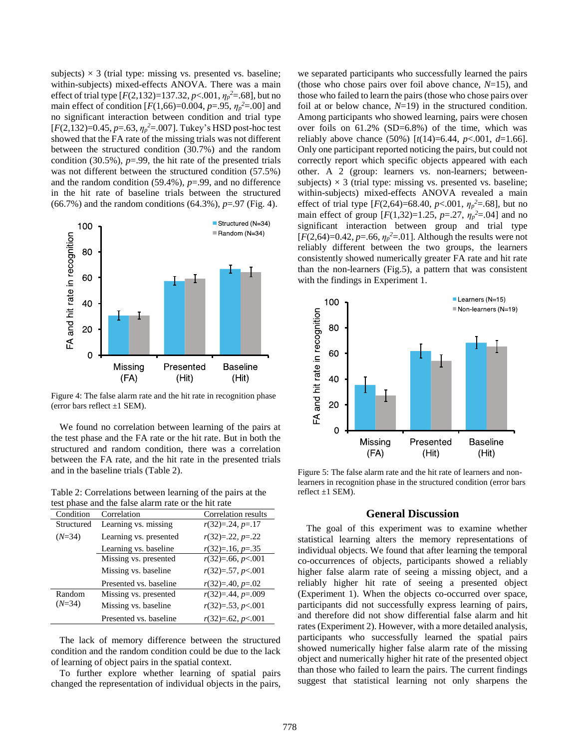subjects)  $\times$  3 (trial type: missing vs. presented vs. baseline; within-subjects) mixed-effects ANOVA. There was a main effect of trial type [*F*(2,132)=137.32, *p*<.001, *η<sup>p</sup> <sup>2</sup>*=.68], but no main effect of condition  $[F(1,66)=0.004, p=.95, \eta_p^2=.00]$  and no significant interaction between condition and trial type [*F*(2,132)=0.45, *p*=.63, *η<sup>p</sup> <sup>2</sup>*=.007]. Tukey's HSD post-hoc test showed that the FA rate of the missing trials was not different between the structured condition (30.7%) and the random condition (30.5%), *p*=.99, the hit rate of the presented trials was not different between the structured condition (57.5%) and the random condition (59.4%), *p*=.99, and no difference in the hit rate of baseline trials between the structured (66.7%) and the random conditions (64.3%), *p*=.97 (Fig. 4).



Figure 4: The false alarm rate and the hit rate in recognition phase (error bars reflect  $\pm 1$  SEM).

We found no correlation between learning of the pairs at the test phase and the FA rate or the hit rate. But in both the structured and random condition, there was a correlation between the FA rate, and the hit rate in the presented trials and in the baseline trials (Table 2).

Table 2: Correlations between learning of the pairs at the test phase and the false alarm rate or the hit rate

| Condition          | Correlation            | Correlation results   |
|--------------------|------------------------|-----------------------|
| Structured         | Learning vs. missing   | $r(32)=0.24, p=.17$   |
| $(N=34)$           | Learning vs. presented | $r(32)=22, p=.22$     |
|                    | Learning vs. baseline  | $r(32)=16, p=.35$     |
|                    | Missing vs. presented  | $r(32)=0.66, p<0.001$ |
|                    | Missing vs. baseline   | $r(32)=0.57, p<0.001$ |
|                    | Presented vs. baseline | $r(32)=140, p=.02$    |
| Random<br>$(N=34)$ | Missing vs. presented  | $r(32)=144, p=.009$   |
|                    | Missing vs. baseline   | $r(32)=53, p<001$     |
|                    | Presented vs. baseline | $r(32)=0.62, p<0.01$  |

The lack of memory difference between the structured condition and the random condition could be due to the lack of learning of object pairs in the spatial context.

To further explore whether learning of spatial pairs changed the representation of individual objects in the pairs,

we separated participants who successfully learned the pairs (those who chose pairs over foil above chance, *N*=15), and those who failed to learn the pairs (those who chose pairs over foil at or below chance, *N*=19) in the structured condition. Among participants who showed learning, pairs were chosen over foils on 61.2% (SD=6.8%) of the time, which was reliably above chance (50%) [*t*(14)=6.44, *p*<.001, *d*=1.66]. Only one participant reported noticing the pairs, but could not correctly report which specific objects appeared with each other. A 2 (group: learners vs. non-learners; betweensubjects)  $\times$  3 (trial type: missing vs. presented vs. baseline; within-subjects) mixed-effects ANOVA revealed a main effect of trial type  $[F(2,64)=68.40, p<.001, \eta_p^2=0.68]$ , but no main effect of group  $[F(1,32)=1.25, p=.27, \eta_p^2=.04]$  and no significant interaction between group and trial type  $[F(2,64)=0.42, p=.66, \eta_p^2=.01]$ . Although the results were not reliably different between the two groups, the learners consistently showed numerically greater FA rate and hit rate than the non-learners (Fig.5), a pattern that was consistent with the findings in Experiment 1.



Figure 5: The false alarm rate and the hit rate of learners and nonlearners in recognition phase in the structured condition (error bars reflect  $\pm 1$  SEM).

#### **General Discussion**

The goal of this experiment was to examine whether statistical learning alters the memory representations of individual objects. We found that after learning the temporal co-occurrences of objects, participants showed a reliably higher false alarm rate of seeing a missing object, and a reliably higher hit rate of seeing a presented object (Experiment 1). When the objects co-occurred over space, participants did not successfully express learning of pairs, and therefore did not show differential false alarm and hit rates(Experiment 2). However, with a more detailed analysis, participants who successfully learned the spatial pairs showed numerically higher false alarm rate of the missing object and numerically higher hit rate of the presented object than those who failed to learn the pairs. The current findings suggest that statistical learning not only sharpens the